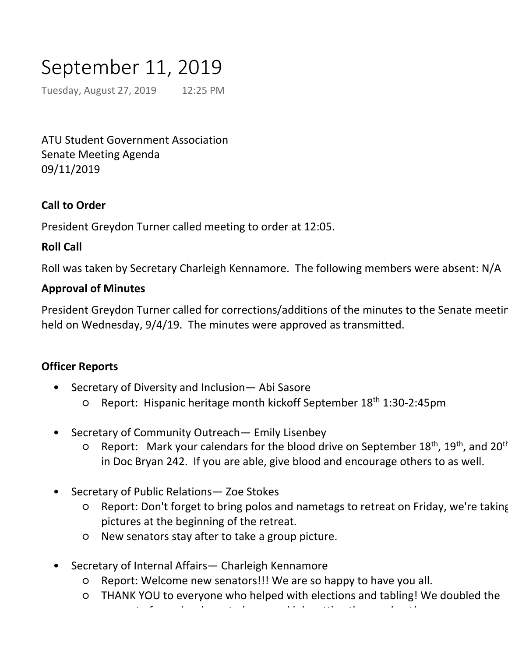# September 11, 2019

Tuesday, August 27, 2019 12:25 PM

ATU Student Government Association Senate Meeting Agenda 09/11/2019

## **Call to Order**

President Greydon Turner called meeting to order at 12:05.

## **Roll Call**

Roll was taken by Secretary Charleigh Kennamore. The following members were absent: N/A

## **Approval of Minutes**

President Greydon Turner called for corrections/additions of the minutes to the Senate meeting held on Wednesday, 9/4/19. The minutes were approved as transmitted.

## **Officer Reports**

- Secretary of Diversity and Inclusion— Abi Sasore •
	- O Report: Hispanic heritage month kickoff September 18<sup>th</sup> 1:30-2:45pm
- Secretary of Community Outreach— Emily Lisenbey •
	- Report: Mark your calendars for the blood drive on September 18<sup>th</sup>, 19<sup>th</sup>, and 20<sup>th</sup> in Doc Bryan 242. If you are able, give blood and encourage others to as well. ○
- Secretary of Public Relations— Zoe Stokes •
	- Report: Don't forget to bring polos and nametags to retreat on Friday, we're taking pictures at the beginning of the retreat. ○
	- New senators stay after to take a group picture.
- Secretary of Internal Affairs— Charleigh Kennamore •
	- Report: Welcome new senators!!! We are so happy to have you all.
	- THANK YOU to everyone who helped with elections and tabling! We doubled the amount of people who voted, so good job getting the word out of people who voted, so good job getting the word<br>The word out of the word out of the word out of the word out of the word out of the word out of the word out o
	- I will be getting all of the polos and nametags ordered for the new senators.
- Secretary of Student Development— Jacob Loomis •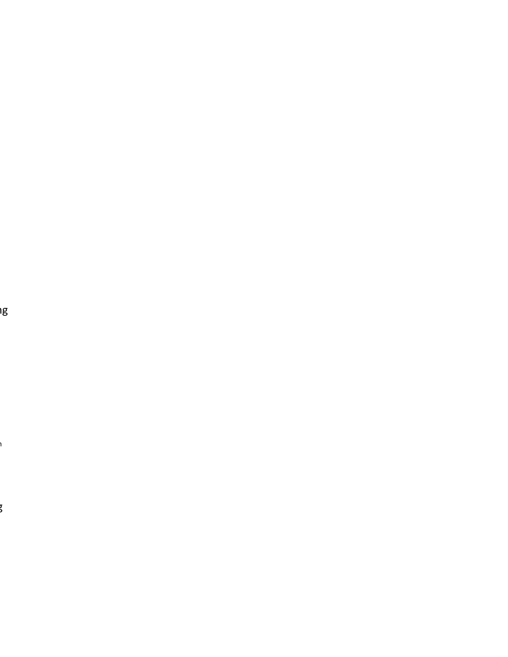er<br>I

n<br>I

 $\sum\limits_{i=1}^{\infty}$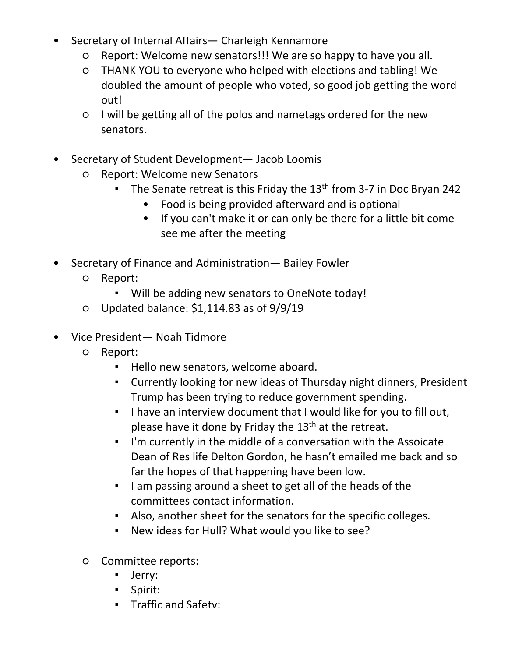- we're taking pictures at the beginning of the retreat.
- New senators stay after to take a group picture.
- Secretary of Internal Affairs— Charleigh Kennamore •
	- Report: Welcome new senators!!! We are so happy to have you all.
	- THANK YOU to everyone who helped with elections and tabling! We doubled the amount of people who voted, so good job getting the word out!
	- I will be getting all of the polos and nametags ordered for the new senators.
- Secretary of Student Development— Jacob Loomis •
	- Report: Welcome new Senators ○
		- The Senate retreat is this Friday the 13<sup>th</sup> from 3-7 in Doc Bryan 242 ▪
			- Food is being provided afterward and is optional
			- If you can't make it or can only be there for a little bit come see me after the meeting
- Secretary of Finance and Administration— Bailey Fowler  $\bullet$ 
	- Report: ○
		- Will be adding new senators to OneNote today!
	- Updated balance: \$1,114.83 as of 9/9/19
- Vice President— Noah Tidmore •
	- Report: ○
		- Hello new senators, welcome aboard.
		- Currently looking for new ideas of Thursday night dinners, President Trump has been trying to reduce government spending. ▪
		- . I have an interview document that I would like for you to fill out, please have it done by Friday the  $13<sup>th</sup>$  at the retreat.
		- **.** I'm currently in the middle of a conversation with the Assoicate Dean of Res life Delton Gordon, he hasn't emailed me back and so far the hopes of that happening have been low.
		- I am passing around a sheet to get all of the heads of the committees contact information.
		- Also, another sheet for the senators for the specific colleges.
		- New ideas for Hull? What would you like to see?
	- Committee reports:  $\circ$ 
		- Jerry:
		- Spirit:
		- Traffic and Safety:
		- Recycling:
		- Food: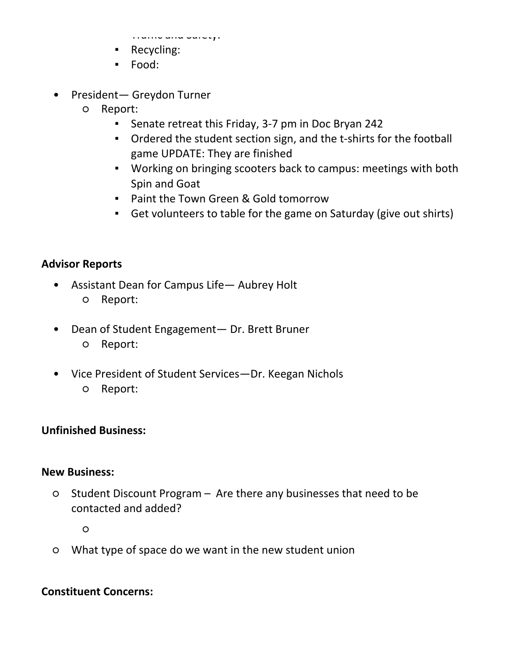- Jerry:
- Spirit:

▪ Traffic and Safety:

- Recycling:
- Food:
- President— Greydon Turner •
	- Report: ○
		- Senate retreat this Friday, 3-7 pm in Doc Bryan 242
		- **•** Ordered the student section sign, and the t-shirts for the football game UPDATE: They are finished
		- Working on bringing scooters back to campus: meetings with both Spin and Goat
		- Paint the Town Green & Gold tomorrow
		- Get volunteers to table for the game on Saturday (give out shirts)

# **Advisor Reports**

- Assistant Dean for Campus Life— Aubrey Holt •
	- Report:
- Dean of Student Engagement— Dr. Brett Bruner ○ Report:  $\bullet$
- Vice President of Student Services—Dr. Keegan Nichols  $\bullet$ 
	- Report:

# **Unfinished Business:**

## **New Business:**

Student Discount Program – Are there any businesses that need to be contacted and added? ○

○

○ What type of space do we want in the new student union

# **Constituent Concerns:**

#### **Announcements:**